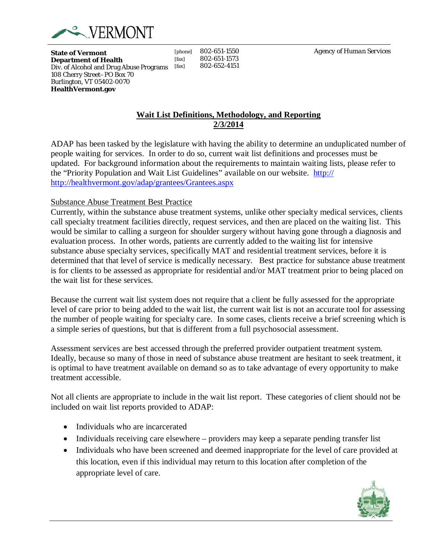

**State of Vermont Department of Health** Div. of Alcohol and Drug Abuse Programs [fax] 108 Cherry Street–PO Box 70 Burlington, VT 05402-0070 **HealthVermont.gov**

[phone] 802-651-1550 [fax] 802-651-1573] [fax] 802-652-4151 *Agency of Human Services*

# **Wait List Definitions, Methodology, and Reporting 2/3/2014**

ADAP has been tasked by the legislature with having the ability to determine an unduplicated number of people waiting for services. In order to do so, current wait list definitions and processes must be updated. For background information about the requirements to maintain waiting lists, please refer to the "Priority Population and Wait List Guidelines" available on our website. [http://](http://healthvermont.gov/adap/grantees/Grantees.aspx)  <http://healthvermont.gov/adap/grantees/Grantees.aspx>

### Substance Abuse Treatment Best Practice

Currently, within the substance abuse treatment systems, unlike other specialty medical services, clients call specialty treatment facilities directly, request services, and then are placed on the waiting list. This would be similar to calling a surgeon for shoulder surgery without having gone through a diagnosis and evaluation process. In other words, patients are currently added to the waiting list for intensive substance abuse specialty services, specifically MAT and residential treatment services, before it is determined that that level of service is medically necessary. Best practice for substance abuse treatment is for clients to be assessed as appropriate for residential and/or MAT treatment prior to being placed on the wait list for these services.

Because the current wait list system does not require that a client be fully assessed for the appropriate level of care prior to being added to the wait list, the current wait list is not an accurate tool for assessing the number of people waiting for specialty care. In some cases, clients receive a brief screening which is a simple series of questions, but that is different from a full psychosocial assessment.

Assessment services are best accessed through the preferred provider outpatient treatment system. Ideally, because so many of those in need of substance abuse treatment are hesitant to seek treatment, it is optimal to have treatment available on demand so as to take advantage of every opportunity to make treatment accessible.

Not all clients are appropriate to include in the wait list report. These categories of client should not be included on wait list reports provided to ADAP:

• Individuals who are incarcerated

 $\overline{a}$ 

- Individuals receiving care elsewhere providers may keep a separate pending transfer list
- Individuals who have been screened and deemed inappropriate for the level of care provided at this location, even if this individual may return to this location after completion of the appropriate level of care.

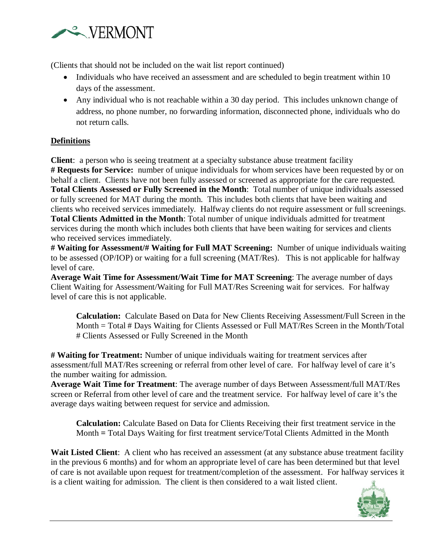

(Clients that should not be included on the wait list report continued)

- Individuals who have received an assessment and are scheduled to begin treatment within 10 days of the assessment.
- Any individual who is not reachable within a 30 day period. This includes unknown change of address, no phone number, no forwarding information, disconnected phone, individuals who do not return calls.

# **Definitions**

 $\overline{a}$ 

**Client**: a person who is seeing treatment at a specialty substance abuse treatment facility **# Requests for Service:** number of unique individuals for whom services have been requested by or on behalf a client. Clients have not been fully assessed or screened as appropriate for the care requested. **Total Clients Assessed or Fully Screened in the Month**: Total number of unique individuals assessed or fully screened for MAT during the month. This includes both clients that have been waiting and clients who received services immediately. Halfway clients do not require assessment or full screenings. **Total Clients Admitted in the Month**: Total number of unique individuals admitted for treatment services during the month which includes both clients that have been waiting for services and clients who received services immediately.

**# Waiting for Assessment/# Waiting for Full MAT Screening:** Number of unique individuals waiting to be assessed (OP/IOP) or waiting for a full screening (MAT/Res). This is not applicable for halfway level of care.

**Average Wait Time for Assessment/Wait Time for MAT Screening**: The average number of days Client Waiting for Assessment/Waiting for Full MAT/Res Screening wait for services. For halfway level of care this is not applicable.

**Calculation:** Calculate Based on Data for New Clients Receiving Assessment/Full Screen in the Month = Total # Days Waiting for Clients Assessed or Full MAT/Res Screen in the Month/Total # Clients Assessed or Fully Screened in the Month

**# Waiting for Treatment:** Number of unique individuals waiting for treatment services after assessment/full MAT/Res screening or referral from other level of care. For halfway level of care it's the number waiting for admission.

**Average Wait Time for Treatment**: The average number of days Between Assessment/full MAT/Res screen or Referral from other level of care and the treatment service. For halfway level of care it's the average days waiting between request for service and admission.

**Calculation:** Calculate Based on Data for Clients Receiving their first treatment service in the Month **=** Total Days Waiting for first treatment service/Total Clients Admitted in the Month

**Wait Listed Client**: A client who has received an assessment (at any substance abuse treatment facility) in the previous 6 months) and for whom an appropriate level of care has been determined but that level of care is not available upon request for treatment/completion of the assessment. For halfway services it is a client waiting for admission. The client is then considered to a wait listed client.

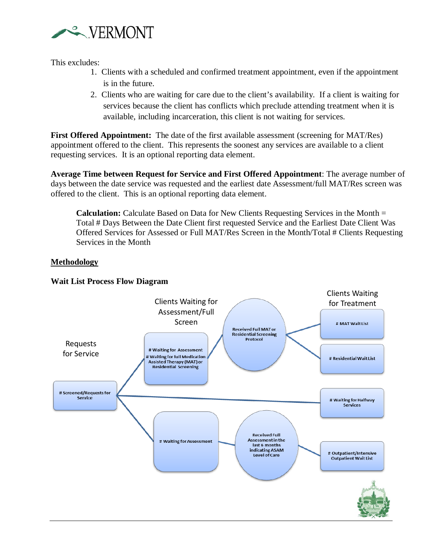

This excludes:

- 1. Clients with a scheduled and confirmed treatment appointment, even if the appointment is in the future.
- 2. Clients who are waiting for care due to the client's availability. If a client is waiting for services because the client has conflicts which preclude attending treatment when it is available, including incarceration, this client is not waiting for services.

**First Offered Appointment:** The date of the first available assessment (screening for MAT/Res) appointment offered to the client. This represents the soonest any services are available to a client requesting services. It is an optional reporting data element.

**Average Time between Request for Service and First Offered Appointment**: The average number of days between the date service was requested and the earliest date Assessment/full MAT/Res screen was offered to the client. This is an optional reporting data element.

**Calculation:** Calculate Based on Data for New Clients Requesting Services in the Month = Total # Days Between the Date Client first requested Service and the Earliest Date Client Was Offered Services for Assessed or Full MAT/Res Screen in the Month/Total # Clients Requesting Services in the Month

# **Methodology**



### **Wait List Process Flow Diagram**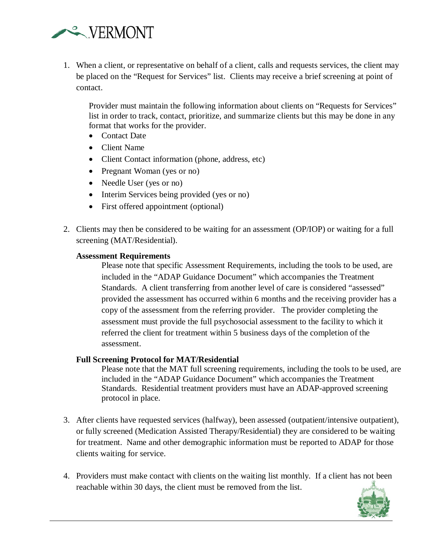

1. When a client, or representative on behalf of a client, calls and requests services, the client may be placed on the "Request for Services" list. Clients may receive a brief screening at point of contact.

Provider must maintain the following information about clients on "Requests for Services" list in order to track, contact, prioritize, and summarize clients but this may be done in any format that works for the provider.

- Contact Date
- Client Name
- Client Contact information (phone, address, etc)
- Pregnant Woman (yes or no)
- Needle User (yes or no)
- Interim Services being provided (yes or no)
- First offered appointment (optional)
- 2. Clients may then be considered to be waiting for an assessment (OP/IOP) or waiting for a full screening (MAT/Residential).

#### **Assessment Requirements**

 $\overline{a}$ 

Please note that specific Assessment Requirements, including the tools to be used, are included in the "ADAP Guidance Document" which accompanies the Treatment Standards. A client transferring from another level of care is considered "assessed" provided the assessment has occurred within 6 months and the receiving provider has a copy of the assessment from the referring provider. The provider completing the assessment must provide the full psychosocial assessment to the facility to which it referred the client for treatment within 5 business days of the completion of the assessment.

#### **Full Screening Protocol for MAT/Residential**

Please note that the MAT full screening requirements, including the tools to be used, are included in the "ADAP Guidance Document" which accompanies the Treatment Standards. Residential treatment providers must have an ADAP-approved screening protocol in place.

- 3. After clients have requested services (halfway), been assessed (outpatient/intensive outpatient), or fully screened (Medication Assisted Therapy/Residential) they are considered to be waiting for treatment. Name and other demographic information must be reported to ADAP for those clients waiting for service.
- 4. Providers must make contact with clients on the waiting list monthly. If a client has not been reachable within 30 days, the client must be removed from the list.